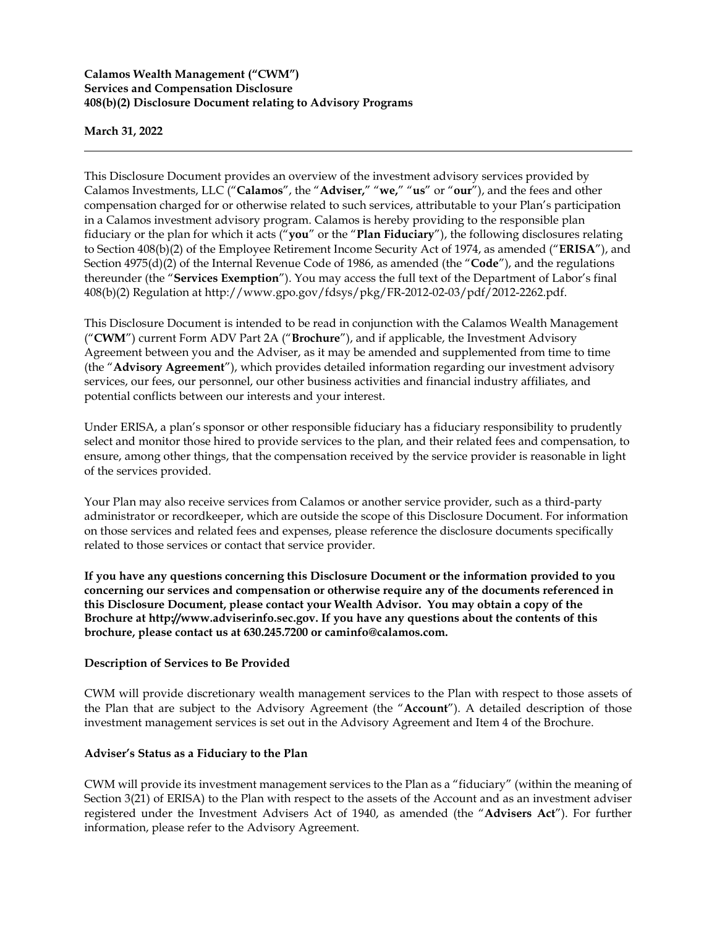## **Calamos Wealth Management ("CWM") Services and Compensation Disclosure 408(b)(2) Disclosure Document relating to Advisory Programs**

**March 31, 2022**

This Disclosure Document provides an overview of the investment advisory services provided by Calamos Investments, LLC ("**Calamos**", the "**Adviser,**" "**we,**" "**us**" or "**our**"), and the fees and other compensation charged for or otherwise related to such services, attributable to your Plan's participation in a Calamos investment advisory program. Calamos is hereby providing to the responsible plan fiduciary or the plan for which it acts ("**you**" or the "**Plan Fiduciary**"), the following disclosures relating to Section 408(b)(2) of the Employee Retirement Income Security Act of 1974, as amended ("**ERISA**"), and Section 4975(d)(2) of the Internal Revenue Code of 1986, as amended (the "**Code**"), and the regulations thereunder (the "**Services Exemption**"). You may access the full text of the Department of Labor's final 408(b)(2) Regulation at [http://www.gpo.gov/fdsys/pkg/FR-2012-02-03/pdf/2012-2262.pdf.](http://www.gpo.gov/fdsys/pkg/FR-2012-02-03/pdf/2012-2262.pdf)

This Disclosure Document is intended to be read in conjunction with the Calamos Wealth Management ("**CWM**") current Form ADV Part 2A ("**Brochure**"), and if applicable, the Investment Advisory Agreement between you and the Adviser, as it may be amended and supplemented from time to time (the "**Advisory Agreement**"), which provides detailed information regarding our investment advisory services, our fees, our personnel, our other business activities and financial industry affiliates, and potential conflicts between our interests and your interest.

Under ERISA, a plan's sponsor or other responsible fiduciary has a fiduciary responsibility to prudently select and monitor those hired to provide services to the plan, and their related fees and compensation, to ensure, among other things, that the compensation received by the service provider is reasonable in light of the services provided.

Your Plan may also receive services from Calamos or another service provider, such as a third-party administrator or recordkeeper, which are outside the scope of this Disclosure Document. For information on those services and related fees and expenses, please reference the disclosure documents specifically related to those services or contact that service provider.

**If you have any questions concerning this Disclosure Document or the information provided to you concerning our services and compensation or otherwise require any of the documents referenced in this Disclosure Document, please contact your Wealth Advisor. You may obtain a copy of the Brochure at [http://www.adviserinfo.sec.gov.](http://www.adviserinfo.sec.gov/) If you have any questions about the contents of this brochure, please contact us at 630.245.7200 or caminfo@calamos.com.**

#### **Description of Services to Be Provided**

CWM will provide discretionary wealth management services to the Plan with respect to those assets of the Plan that are subject to the Advisory Agreement (the "**Account**"). A detailed description of those investment management services is set out in the Advisory Agreement and Item 4 of the Brochure.

#### **Adviser's Status as a Fiduciary to the Plan**

CWM will provide its investment management services to the Plan as a "fiduciary" (within the meaning of Section 3(21) of ERISA) to the Plan with respect to the assets of the Account and as an investment adviser registered under the Investment Advisers Act of 1940, as amended (the "**Advisers Act**"). For further information, please refer to the Advisory Agreement.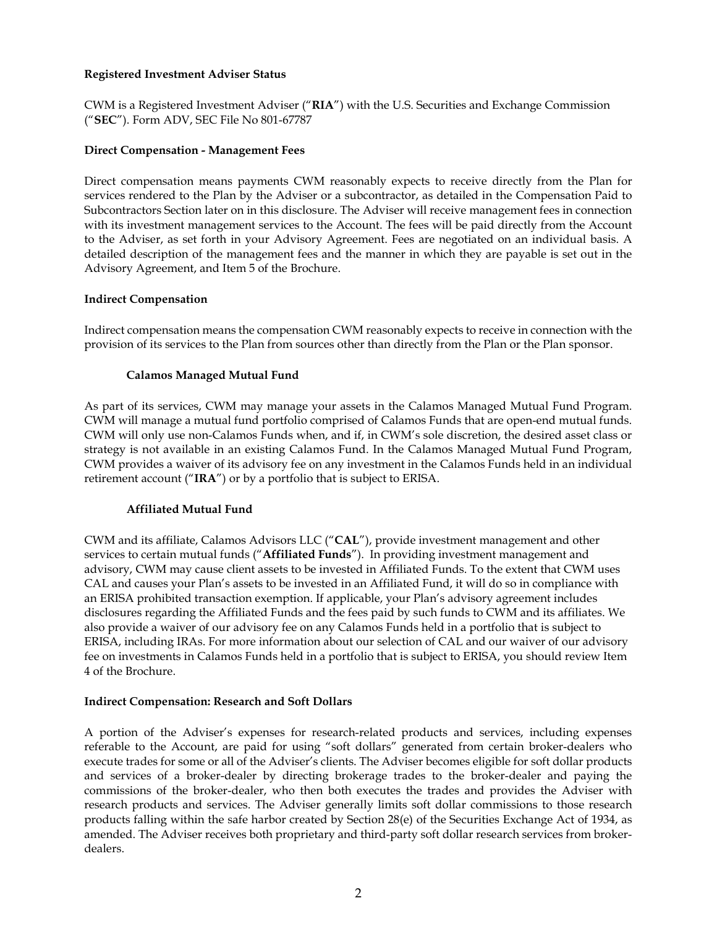## **Registered Investment Adviser Status**

CWM is a Registered Investment Adviser ("**RIA**") with the U.S. Securities and Exchange Commission ("**SEC**"). Form ADV, SEC File No 801-67787

## **Direct Compensation - Management Fees**

Direct compensation means payments CWM reasonably expects to receive directly from the Plan for services rendered to the Plan by the Adviser or a subcontractor, as detailed in the Compensation Paid to Subcontractors Section later on in this disclosure. The Adviser will receive management fees in connection with its investment management services to the Account. The fees will be paid directly from the Account to the Adviser, as set forth in your Advisory Agreement. Fees are negotiated on an individual basis. A detailed description of the management fees and the manner in which they are payable is set out in the Advisory Agreement, and Item 5 of the Brochure.

## **Indirect Compensation**

Indirect compensation means the compensation CWM reasonably expects to receive in connection with the provision of its services to the Plan from sources other than directly from the Plan or the Plan sponsor.

## **Calamos Managed Mutual Fund**

As part of its services, CWM may manage your assets in the Calamos Managed Mutual Fund Program. CWM will manage a mutual fund portfolio comprised of Calamos Funds that are open-end mutual funds. CWM will only use non-Calamos Funds when, and if, in CWM's sole discretion, the desired asset class or strategy is not available in an existing Calamos Fund. In the Calamos Managed Mutual Fund Program, CWM provides a waiver of its advisory fee on any investment in the Calamos Funds held in an individual retirement account ("**IRA**") or by a portfolio that is subject to ERISA.

#### **Affiliated Mutual Fund**

CWM and its affiliate, Calamos Advisors LLC ("**CAL**"), provide investment management and other services to certain mutual funds ("**Affiliated Funds**"). In providing investment management and advisory, CWM may cause client assets to be invested in Affiliated Funds. To the extent that CWM uses CAL and causes your Plan's assets to be invested in an Affiliated Fund, it will do so in compliance with an ERISA prohibited transaction exemption. If applicable, your Plan's advisory agreement includes disclosures regarding the Affiliated Funds and the fees paid by such funds to CWM and its affiliates. We also provide a waiver of our advisory fee on any Calamos Funds held in a portfolio that is subject to ERISA, including IRAs. For more information about our selection of CAL and our waiver of our advisory fee on investments in Calamos Funds held in a portfolio that is subject to ERISA, you should review Item 4 of the Brochure.

#### **Indirect Compensation: Research and Soft Dollars**

A portion of the Adviser's expenses for research-related products and services, including expenses referable to the Account, are paid for using "soft dollars" generated from certain broker-dealers who execute trades for some or all of the Adviser's clients. The Adviser becomes eligible for soft dollar products and services of a broker-dealer by directing brokerage trades to the broker-dealer and paying the commissions of the broker-dealer, who then both executes the trades and provides the Adviser with research products and services. The Adviser generally limits soft dollar commissions to those research products falling within the safe harbor created by Section 28(e) of the Securities Exchange Act of 1934, as amended. The Adviser receives both proprietary and third-party soft dollar research services from brokerdealers.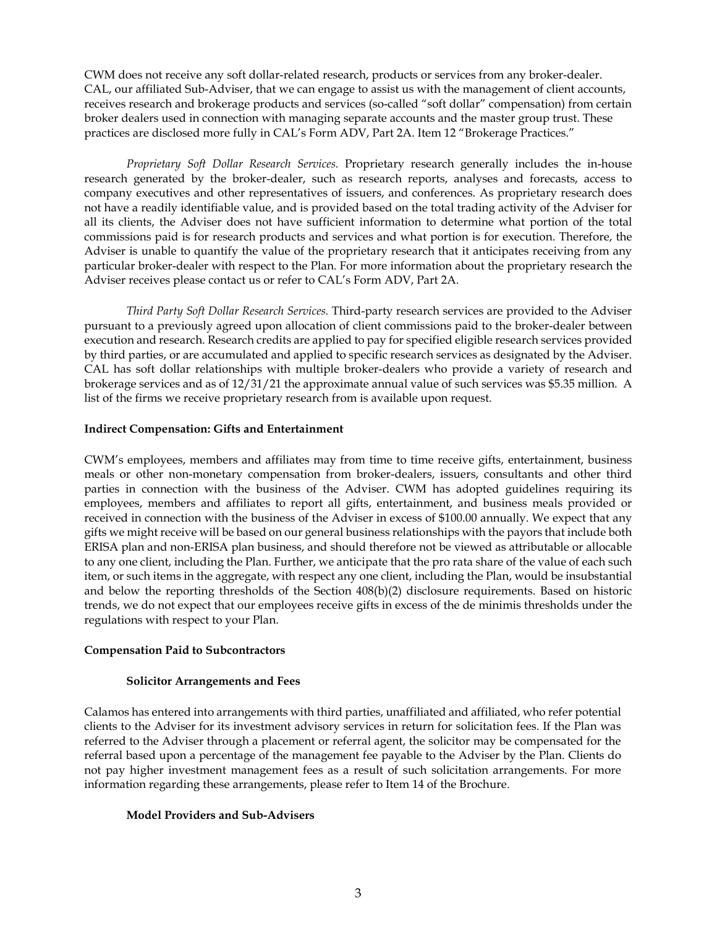CWM does not receive any soft dollar-related research, products or services from any broker-dealer. CAL, our affiliated Sub-Adviser, that we can engage to assist us with the management of client accounts, receives research and brokerage products and services (so-called "soft dollar" compensation) from certain broker dealers used in connection with managing separate accounts and the master group trust. These practices are disclosed more fully in CAL's Form ADV, Part 2A. Item 12 "Brokerage Practices."

*Proprietary Soft Dollar Research Services.* Proprietary research generally includes the in-house research generated by the broker-dealer, such as research reports, analyses and forecasts, access to company executives and other representatives of issuers, and conferences. As proprietary research does not have a readily identifiable value, and is provided based on the total trading activity of the Adviser for all its clients, the Adviser does not have sufficient information to determine what portion of the total commissions paid is for research products and services and what portion is for execution. Therefore, the Adviser is unable to quantify the value of the proprietary research that it anticipates receiving from any particular broker-dealer with respect to the Plan. For more information about the proprietary research the Adviser receives please contact us or refer to CAL's Form ADV, Part 2A.

*Third Party Soft Dollar Research Services.* Third-party research services are provided to the Adviser pursuant to a previously agreed upon allocation of client commissions paid to the broker-dealer between execution and research. Research credits are applied to pay for specified eligible research services provided by third parties, or are accumulated and applied to specific research services as designated by the Adviser. CAL has soft dollar relationships with multiple broker-dealers who provide a variety of research and brokerage services and as of 12/31/21 the approximate annual value of such services was \$5.35 million. A list of the firms we receive proprietary research from is available upon request.

## **Indirect Compensation: Gifts and Entertainment**

CWM's employees, members and affiliates may from time to time receive gifts, entertainment, business meals or other non-monetary compensation from broker-dealers, issuers, consultants and other third parties in connection with the business of the Adviser. CWM has adopted guidelines requiring its employees, members and affiliates to report all gifts, entertainment, and business meals provided or received in connection with the business of the Adviser in excess of \$100.00 annually. We expect that any gifts we might receive will be based on our general business relationships with the payors that include both ERISA plan and non-ERISA plan business, and should therefore not be viewed as attributable or allocable to any one client, including the Plan. Further, we anticipate that the pro rata share of the value of each such item, or such items in the aggregate, with respect any one client, including the Plan, would be insubstantial and below the reporting thresholds of the Section 408(b)(2) disclosure requirements. Based on historic trends, we do not expect that our employees receive gifts in excess of the de minimis thresholds under the regulations with respect to your Plan.

#### **Compensation Paid to Subcontractors**

#### **Solicitor Arrangements and Fees**

Calamos has entered into arrangements with third parties, unaffiliated and affiliated, who refer potential clients to the Adviser for its investment advisory services in return for solicitation fees. If the Plan was referred to the Adviser through a placement or referral agent, the solicitor may be compensated for the referral based upon a percentage of the management fee payable to the Adviser by the Plan. Clients do not pay higher investment management fees as a result of such solicitation arrangements. For more information regarding these arrangements, please refer to Item 14 of the Brochure.

#### **Model Providers and Sub-Advisers**